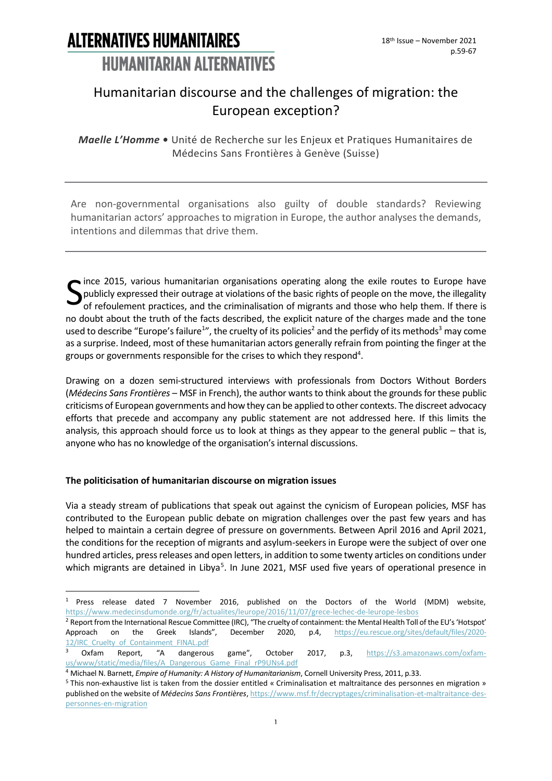### Humanitarian discourse and the challenges of migration: the European exception?

*Maelle L'Homme •* Unité de Recherche sur les Enjeux et Pratiques Humanitaires de Médecins Sans Frontières à Genève (Suisse)

Are non-governmental organisations also guilty of double standards? Reviewing humanitarian actors' approaches to migration in Europe, the author analyses the demands, intentions and dilemmas that drive them.

Since 2015, various humanitarian organisations operating along the exile routes to Europe have<br>publicly expressed their outrage at violations of the basic rights of people on the move, the illegality<br>of refoulement practic publicly expressed their outrage at violations of the basic rights of people on the move, the illegality of refoulement practices, and the criminalisation of migrants and those who help them. If there is no doubt about the truth of the facts described, the explicit nature of the charges made and the tone used to describe "Europe's failure<sup>1</sup>", the cruelty of its policies<sup>2</sup> and the perfidy of its methods<sup>3</sup> may come as a surprise. Indeed, most of these humanitarian actors generally refrain from pointing the finger at the groups or governments responsible for the crises to which they respond<sup>4</sup>.

Drawing on a dozen semi-structured interviews with professionals from Doctors Without Borders (*Médecins Sans Frontières* – MSF in French), the author wants to think about the grounds for these public criticisms of European governments and how they can be applied to other contexts. The discreet advocacy efforts that precede and accompany any public statement are not addressed here. If this limits the analysis, this approach should force us to look at things as they appear to the general public – that is, anyone who has no knowledge of the organisation's internal discussions.

#### **The politicisation of humanitarian discourse on migration issues**

Via a steady stream of publications that speak out against the cynicism of European policies, MSF has contributed to the European public debate on migration challenges over the past few years and has helped to maintain a certain degree of pressure on governments. Between April 2016 and April 2021, the conditions for the reception of migrants and asylum-seekers in Europe were the subject of over one hundred articles, press releases and open letters, in addition to some twenty articles on conditions under which migrants are detained in Libya<sup>5</sup>. In June 2021, MSF used five years of operational presence in

<sup>1</sup> Press release dated 7 November 2016, published on the Doctors of the World (MDM) website, <https://www.medecinsdumonde.org/fr/actualites/leurope/2016/11/07/grece-lechec-de-leurope-lesbos>

<sup>2</sup> Report from the International Rescue Committee (IRC), "The cruelty of containment: the Mental Health Toll of the EU's 'Hotspot' Approach on the Greek Islands", December 2020, p.4, [https://eu.rescue.org/sites/default/files/2020-](https://eu.rescue.org/sites/default/files/2020-12/IRC_Cruelty_of_Containment_FINAL.pdf) 12/IRC Cruelty of Containment FINAL.pdf

Oxfam Report, "A dangerous game", October 2017, p.3, [https://s3.amazonaws.com/oxfam](https://s3.amazonaws.com/oxfam-us/www/static/media/files/A_Dangerous_Game_Final_rP9UNs4.pdf)[us/www/static/media/files/A\\_Dangerous\\_Game\\_Final\\_rP9UNs4.pdf](https://s3.amazonaws.com/oxfam-us/www/static/media/files/A_Dangerous_Game_Final_rP9UNs4.pdf)

<sup>4</sup> Michael N. Barnett, *Empire of Humanity: A History of Humanitarianism*, Cornell University Press, 2011, p.33.

<sup>5</sup> This non-exhaustive list is taken from the dossier entitled « Criminalisation et maltraitance des personnes en migration » published on the website of *Médecins Sans Frontières*[, https://www.msf.fr/decryptages/criminalisation-et-maltraitance-des](https://www.msf.fr/decryptages/criminalisation-et-maltraitance-des-personnes-en-migration)[personnes-en-migration](https://www.msf.fr/decryptages/criminalisation-et-maltraitance-des-personnes-en-migration)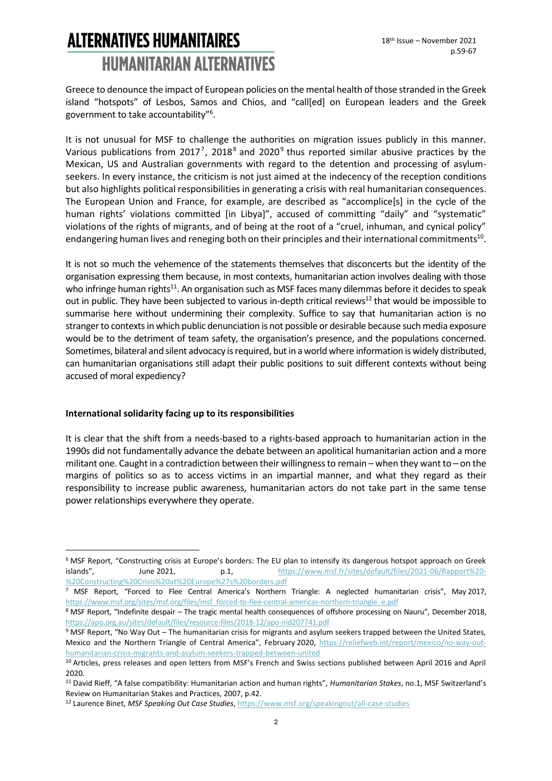Greece to denounce the impact of European policies on the mental health of those stranded in the Greek island "hotspots" of Lesbos, Samos and Chios, and "call[ed] on European leaders and the Greek government to take accountability"<sup>6</sup> .

It is not unusual for MSF to challenge the authorities on migration issues publicly in this manner. Various publications from 2017<sup>7</sup>, 2018<sup>8</sup> and 2020<sup>9</sup> thus reported similar abusive practices by the Mexican, US and Australian governments with regard to the detention and processing of asylumseekers. In every instance, the criticism is not just aimed at the indecency of the reception conditions but also highlights political responsibilities in generating a crisis with real humanitarian consequences. The European Union and France, for example, are described as "accomplice[s] in the cycle of the human rights' violations committed [in Libya]", accused of committing "daily" and "systematic" violations of the rights of migrants, and of being at the root of a "cruel, inhuman, and cynical policy" endangering human lives and reneging both on their principles and their international commitments $^{10}$ .

It is not so much the vehemence of the statements themselves that disconcerts but the identity of the organisation expressing them because, in most contexts, humanitarian action involves dealing with those who infringe human rights<sup>11</sup>. An organisation such as MSF faces many dilemmas before it decides to speak out in public. They have been subjected to various in-depth critical reviews<sup>12</sup> that would be impossible to summarise here without undermining their complexity. Suffice to say that humanitarian action is no stranger to contexts in which public denunciation is not possible or desirable because such media exposure would be to the detriment of team safety, the organisation's presence, and the populations concerned. Sometimes, bilateral and silent advocacy is required, but in a world where information is widely distributed, can humanitarian organisations still adapt their public positions to suit different contexts without being accused of moral expediency?

#### **International solidarity facing up to its responsibilities**

It is clear that the shift from a needs-based to a rights-based approach to humanitarian action in the 1990s did not fundamentally advance the debate between an apolitical humanitarian action and a more militant one. Caught in a contradiction between their willingness to remain – when they want to – on the margins of politics so as to access victims in an impartial manner, and what they regard as their responsibility to increase public awareness, humanitarian actors do not take part in the same tense power relationships everywhere they operate.

<sup>&</sup>lt;sup>6</sup> MSF Report, "Constructing crisis at Europe's borders: The EU plan to intensify its dangerous hotspot approach on Greek islands", June 2021, p.1, [https://www.msf.fr/sites/default/files/2021-06/Rapport%20-](https://www.msf.fr/sites/default/files/2021-06/Rapport%20-%20Constructing%20Crisis%20at%20Europe%27s%20borders.pdf) [%20Constructing%20Crisis%20at%20Europe%27s%20borders.pdf](https://www.msf.fr/sites/default/files/2021-06/Rapport%20-%20Constructing%20Crisis%20at%20Europe%27s%20borders.pdf)

<sup>7</sup> MSF Report, "Forced to Flee Central America's Northern Triangle: A neglected humanitarian crisis", May 2017, [https://www.msf.org/sites/msf.org/files/msf\\_forced-to-flee-central-americas-northern-triangle\\_e.pdf](https://www.msf.org/sites/msf.org/files/msf_forced-to-flee-central-americas-northern-triangle_e.pdf)

<sup>8</sup> MSF Report, "Indefinite despair – The tragic mental health consequences of offshore processing on Nauru", December 2018, <https://apo.org.au/sites/default/files/resource-files/2018-12/apo-nid207741.pdf>

 $9$  MSF Report, "No Way Out – The humanitarian crisis for migrants and asylum seekers trapped between the United States, Mexico and the Northern Triangle of Central America", February 2020, [https://reliefweb.int/report/mexico/no-way-out](https://reliefweb.int/report/mexico/no-way-out-humanitarian-crisis-migrants-and-asylum-seekers-trapped-between-united)[humanitarian-crisis-migrants-and-asylum-seekers-trapped-between-united](https://reliefweb.int/report/mexico/no-way-out-humanitarian-crisis-migrants-and-asylum-seekers-trapped-between-united)

<sup>&</sup>lt;sup>10</sup> Articles, press releases and open letters from MSF's French and Swiss sections published between April 2016 and April 2020.

<sup>11</sup> David Rieff, "A false compatibility: Humanitarian action and human rights", *Humanitarian Stakes*, no.1, MSF Switzerland's Review on Humanitarian Stakes and Practices, 2007, p.42.

<sup>12</sup> Laurence Binet, *MSF Speaking Out Case Studies*[, https://www.msf.org/speakingout/all-case-studies](https://www.msf.org/speakingout/all-case-studies)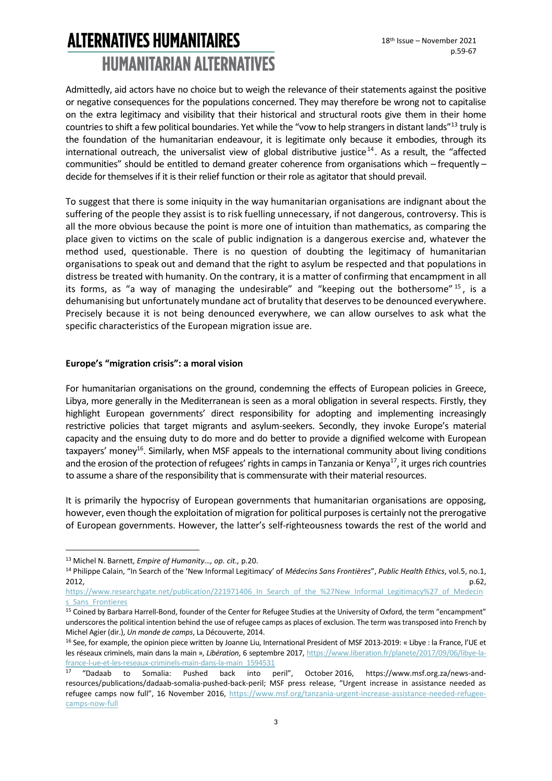Admittedly, aid actors have no choice but to weigh the relevance of their statements against the positive or negative consequences for the populations concerned. They may therefore be wrong not to capitalise on the extra legitimacy and visibility that their historical and structural roots give them in their home countries to shift a few political boundaries. Yet while the "vow to help strangers in distant lands"<sup>13</sup> truly is the foundation of the humanitarian endeavour, it is legitimate only because it embodies, through its international outreach, the universalist view of global distributive justice<sup>14</sup>. As a result, the "affected communities" should be entitled to demand greater coherence from organisations which – frequently – decide for themselves if it is their relief function or their role as agitator that should prevail.

To suggest that there is some iniquity in the way humanitarian organisations are indignant about the suffering of the people they assist is to risk fuelling unnecessary, if not dangerous, controversy. This is all the more obvious because the point is more one of intuition than mathematics, as comparing the place given to victims on the scale of public indignation is a dangerous exercise and, whatever the method used, questionable. There is no question of doubting the legitimacy of humanitarian organisations to speak out and demand that the right to asylum be respected and that populations in distress be treated with humanity. On the contrary, it is a matter of confirming that encampment in all its forms, as "a way of managing the undesirable" and "keeping out the bothersome"  $15$ , is a dehumanising but unfortunately mundane act of brutality that deserves to be denounced everywhere. Precisely because it is not being denounced everywhere, we can allow ourselves to ask what the specific characteristics of the European migration issue are.

#### **Europe's "migration crisis": a moral vision**

For humanitarian organisations on the ground, condemning the effects of European policies in Greece, Libya, more generally in the Mediterranean is seen as a moral obligation in several respects. Firstly, they highlight European governments' direct responsibility for adopting and implementing increasingly restrictive policies that target migrants and asylum-seekers. Secondly, they invoke Europe's material capacity and the ensuing duty to do more and do better to provide a dignified welcome with European taxpayers' money<sup>16</sup>. Similarly, when MSF appeals to the international community about living conditions and the erosion of the protection of refugees' rights in camps in Tanzania or Kenya<sup>17</sup>, it urges rich countries to assume a share of the responsibility that is commensurate with their material resources.

It is primarily the hypocrisy of European governments that humanitarian organisations are opposing, however, even though the exploitation of migration for political purposes is certainly not the prerogative of European governments. However, the latter's self-righteousness towards the rest of the world and

<sup>13</sup> Michel N. Barnett, *Empire of Humanity…, op. cit.,* p.20.

<sup>14</sup> Philippe Calain, "In Search of the 'New Informal Legitimacy' of *Médecins Sans Frontières*", *Public Health Ethics*, vol.5, no.1, 2012,  $p.62$ ,  $p.62$ ,  $p.62$ ,  $p.62$ ,  $p.62$ ,  $p.62$ ,  $p.62$ ,  $p.62$ ,  $p.62$ ,  $p.62$ ,  $p.62$ ,  $p.62$ ,  $p.62$ ,  $p.62$ ,  $p.62$ ,  $p.62$ ,  $p.62$ ,  $p.62$ ,  $p.62$ ,  $p.62$ ,  $p.62$ ,  $p.62$ ,  $p.62$ ,  $p.62$ ,  $p.62$ ,  $p.62$ ,  $p.62$ ,

[https://www.researchgate.net/publication/221971406\\_In\\_Search\\_of\\_the\\_%27New\\_Informal\\_Legitimacy%27\\_of\\_Medecin](https://www.researchgate.net/publication/221971406_In_Search_of_the_%27New_Informal_Legitimacy%27_of_Medecins_Sans_Frontieres) s Sans Frontieres

<sup>&</sup>lt;sup>15</sup> Coined by Barbara Harrell-Bond, founder of the Center for Refugee Studies at the University of Oxford, the term "encampment" underscores the political intention behind the use of refugee camps as places of exclusion. The term was transposed into French by Michel Agier (dir.), *Un monde de camps*, La Découverte, 2014.

<sup>&</sup>lt;sup>16</sup> See, for example, the opinion piece written by Joanne Liu, International President of MSF 2013-2019: « Libye : la France, l'UE et les réseaux criminels, main dans la main », *Libération*, 6 septembre 2017[, https://www.liberation.fr/planete/2017/09/06/libye-la](https://www.liberation.fr/planete/2017/09/06/libye-la-france-l-ue-et-les-reseaux-criminels-main-dans-la-main_1594531)[france-l-ue-et-les-reseaux-criminels-main-dans-la-main\\_1594531](https://www.liberation.fr/planete/2017/09/06/libye-la-france-l-ue-et-les-reseaux-criminels-main-dans-la-main_1594531)

<sup>17</sup> "Dadaab to Somalia: Pushed back into peril", October 2016, https://www.msf.org.za/news-andresources/publications/dadaab-somalia-pushed-back-peril; MSF press release, "Urgent increase in assistance needed as refugee camps now full", 16 November 2016, [https://www.msf.org/tanzania-urgent-increase-assistance-needed-refugee](https://www.msf.org/tanzania-urgent-increase-assistance-needed-refugee-camps-now-full)[camps-now-full](https://www.msf.org/tanzania-urgent-increase-assistance-needed-refugee-camps-now-full)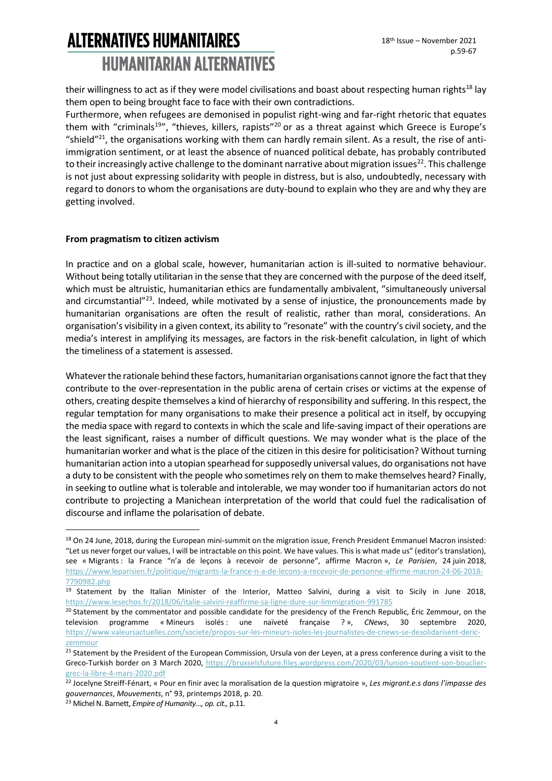their willingness to act as if they were model civilisations and boast about respecting human rights<sup>18</sup> lay them open to being brought face to face with their own contradictions.

Furthermore, when refugees are demonised in populist right-wing and far-right rhetoric that equates them with "criminals<sup>19</sup>", "thieves, killers, rapists"<sup>20</sup> or as a threat against which Greece is Europe's "shield"<sup>21</sup>, the organisations working with them can hardly remain silent. As a result, the rise of antiimmigration sentiment, or at least the absence of nuanced political debate, has probably contributed to their increasingly active challenge to the dominant narrative about migration issues<sup>22</sup>. This challenge is not just about expressing solidarity with people in distress, but is also, undoubtedly, necessary with regard to donors to whom the organisations are duty-bound to explain who they are and why they are getting involved.

#### **From pragmatism to citizen activism**

In practice and on a global scale, however, humanitarian action is ill-suited to normative behaviour. Without being totally utilitarian in the sense that they are concerned with the purpose of the deed itself, which must be altruistic, humanitarian ethics are fundamentally ambivalent, "simultaneously universal and circumstantial"<sup>23</sup>. Indeed, while motivated by a sense of injustice, the pronouncements made by humanitarian organisations are often the result of realistic, rather than moral, considerations. An organisation's visibility in a given context, its ability to "resonate" with the country's civil society, and the media's interest in amplifying its messages, are factors in the risk-benefit calculation, in light of which the timeliness of a statement is assessed.

Whatever the rationale behind these factors, humanitarian organisations cannot ignore the fact that they contribute to the over-representation in the public arena of certain crises or victims at the expense of others, creating despite themselves a kind of hierarchy of responsibility and suffering. In this respect, the regular temptation for many organisations to make their presence a political act in itself, by occupying the media space with regard to contexts in which the scale and life-saving impact of their operations are the least significant, raises a number of difficult questions. We may wonder what is the place of the humanitarian worker and what is the place of the citizen in this desire for politicisation? Without turning humanitarian action into a utopian spearhead for supposedly universal values, do organisations not have a duty to be consistent with the people who sometimes rely on them to make themselves heard? Finally, in seeking to outline what is tolerable and intolerable, we may wonder too if humanitarian actors do not contribute to projecting a Manichean interpretation of the world that could fuel the radicalisation of discourse and inflame the polarisation of debate.

<sup>&</sup>lt;sup>18</sup> On 24 June, 2018, during the European mini-summit on the migration issue, French President Emmanuel Macron insisted: "Let us never forget our values, I will be intractable on this point. We have values. This is what made us" (editor's translation), see « Migrants : la France "n'a de leçons à recevoir de personne", affirme Macron », *Le Parisien*, 24 juin 2018, [https://www.leparisien.fr/politique/migrants-la-france-n-a-de-lecons-a-recevoir-de-personne-affirme-macron-24-06-2018-](https://www.leparisien.fr/politique/migrants-la-france-n-a-de-lecons-a-recevoir-de-personne-affirme-macron-24-06-2018-7790982.php) [7790982.php](https://www.leparisien.fr/politique/migrants-la-france-n-a-de-lecons-a-recevoir-de-personne-affirme-macron-24-06-2018-7790982.php)

<sup>19</sup> Statement by the Italian Minister of the Interior, Matteo Salvini, during a visit to Sicily in June 2018, <https://www.lesechos.fr/2018/06/italie-salvini-reaffirme-sa-ligne-dure-sur-limmigration-991785>

<sup>&</sup>lt;sup>20</sup> Statement by the commentator and possible candidate for the presidency of the French Republic, Éric Zemmour, on the television programme « Mineurs isolés : une naïveté française ? », CNews, 30 septembre 2020, [https://www.valeursactuelles.com/societe/propos-sur-les-mineurs-isoles-les-journalistes-de-cnews-se-desolidarisent-deric](https://www.valeursactuelles.com/societe/propos-sur-les-mineurs-isoles-les-journalistes-de-cnews-se-desolidarisent-deric-zemmour)[zemmour](https://www.valeursactuelles.com/societe/propos-sur-les-mineurs-isoles-les-journalistes-de-cnews-se-desolidarisent-deric-zemmour)

<sup>&</sup>lt;sup>21</sup> Statement by the President of the European Commission, Ursula von der Leyen, at a press conference during a visit to the Greco-Turkish border on 3 March 2020, [https://bruxselsfuture.files.wordpress.com/2020/03/lunion-soutient-son-bouclier](https://bruxselsfuture.files.wordpress.com/2020/03/lunion-soutient-son-bouclier-grec-la-libre-4-mars-2020.pdf)[grec-la-libre-4-mars-2020.pdf](https://bruxselsfuture.files.wordpress.com/2020/03/lunion-soutient-son-bouclier-grec-la-libre-4-mars-2020.pdf)

<sup>22</sup> Jocelyne Streiff-Fénart, « Pour en finir avec la moralisation de la question migratoire », *Les migrant.e.s dans l'impasse des gouvernances*, *Mouvements*, n° 93, printemps 2018, p. 20.

<sup>23</sup> Michel N. Barnett, *Empire of Humanity…, op. cit.,* p.11.